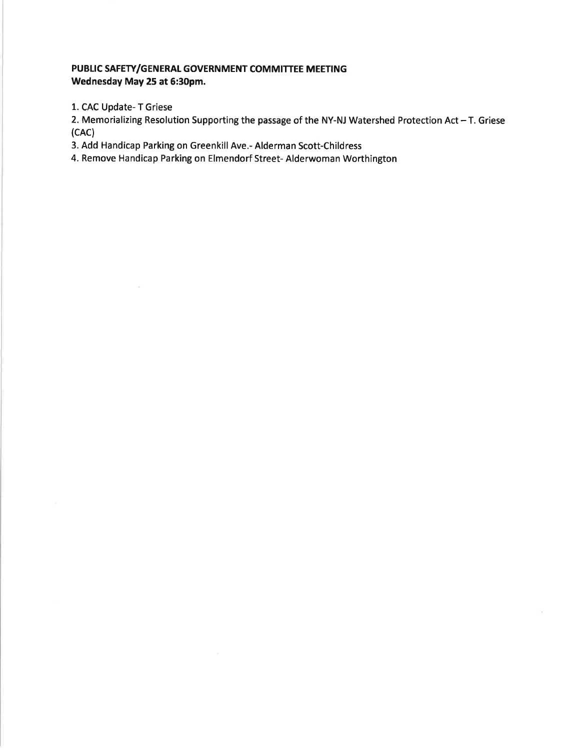## PUBLIC SAFETY/GENERAL GOVERNMENT COMMITTEE MEETING Wednesday May 25 at 5:30pm.

1. CAC Update- T Griese

 $\sim$ 

2. Memorializing Resolution Supporting the passage of the NY-NJ Watershed Protection Act  $-$  T. Griese (cAc)

3. Add Handicap Parking on Greenkill Ave.- Alderman Scott-Childress

4. Remove Handicap Parking on Elmendorf Street- Alderwoman Worthington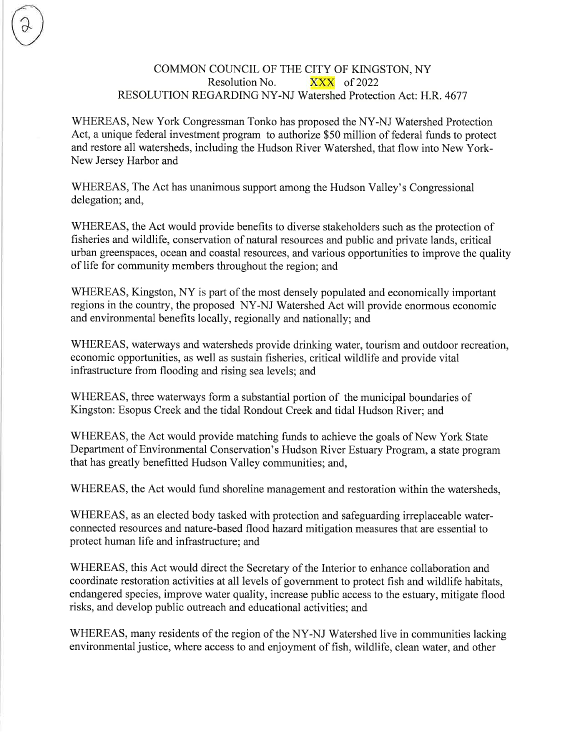## COMMON COUNCIL OF THE CITY OF KINGSTON, NY Resolution No.  $\overline{XXX}$  of 2022 RESOLUTION REGARDINGNY-NJ Watershed Protection Act: H.R. 4677

WHEREAS, New York Congressman Tonko has proposed the NY-NJ Watershed Protection Act, a unique federal investment program to authorize \$50 million of federal funds to protect and restore all watersheds, including the Hudson River Watershed, that flow into New York-New Jersey Harbor and

WHEREAS, The Act has unanimous support among the Hudson Valley's Congressional delegation; and,

WHEREAS, the Act would provide benefits to diverse stakeholders such as the protection of fisheries and wildlife, conservation of natural resources and public and private lands, critical urban greenspaces, ocean and coastal resources, and various opportunities to improve the quality of life for community members throughout the region; and

WHEREAS, Kingston, NY is part of the most densely populated and economically important regions in the country, the proposed NY-NJ Watershed Act will provide enormous economic and environmental benefits locally, regionally and nationally; and

WHEREAS, waterways and watersheds provide drinking water, tourism and outdoor recreation, economic opportunities, as well as sustain fisheries, critical wildlife and provide vital infrastructure from flooding and rising sea levels; and

WHEREAS, three waterways form a substantial portion of the municipal boundaries of Kingston: Esopus Creek and the tidal Rondout Creek and tidal Hudson River; and

WHEREAS, the Act would provide matching funds to achieve the goals of New York State Department of Environmental Conservation's Hudson River Estuary Program, a state program that has greatly benefitted Hudson Valley communities; and,

WHEREAS, the Act would fund shoreline management and restoration within the watersheds,

WHEREAS, as an elected body tasked with protection and safeguarding irreplaceable waterconnected resources and nature-based flood hazard mitigation measures that are essential to protect human life and infrastructure; and

WHEREAS, this Act would direct the Secretary of the Interior to enhance collaboration and coordinate restoration activities at all levels of government to protect fish and wildlife habitats, endangered species, improve water quality, increase public access to the estuary, mitigate flood risks, and develop public outreach and educational activities; and

WHEREAS, many residents of the region of the NY-NJ Watershed live in communities lacking environmental justice, where access to and enjoyment of fish, wildlife, clean water, and other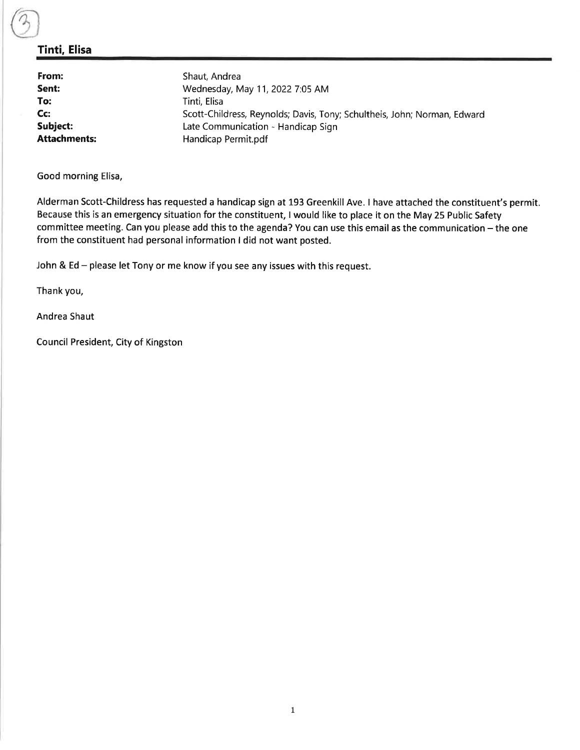## Tinti, Elisa

| From:               | Shaut, Andrea                                                            |
|---------------------|--------------------------------------------------------------------------|
| Sent:               | Wednesday, May 11, 2022 7:05 AM                                          |
| To:                 | Tinti, Elisa                                                             |
| Cc:                 | Scott-Childress, Reynolds; Davis, Tony; Schultheis, John; Norman, Edward |
| Subject:            | Late Communication - Handicap Sign                                       |
| <b>Attachments:</b> | Handicap Permit.pdf                                                      |

Good morning Elisa,

Alderman Scott-Childress has requested a handicap sign at 193 Greenkill Ave. I have attached the constituent's permit. Because this is an emergency situation for the constituent, I would like to place it on the May 25 Public Safety committee meeting. Can you please add this to the agenda? You can use this email as the communication - the one from the constituent had personal information I did not want posted.

John & Ed - please let Tony or me know if you see any issues with this request.

Thank you,

Andrea Shaut

Council President, City of Kingston